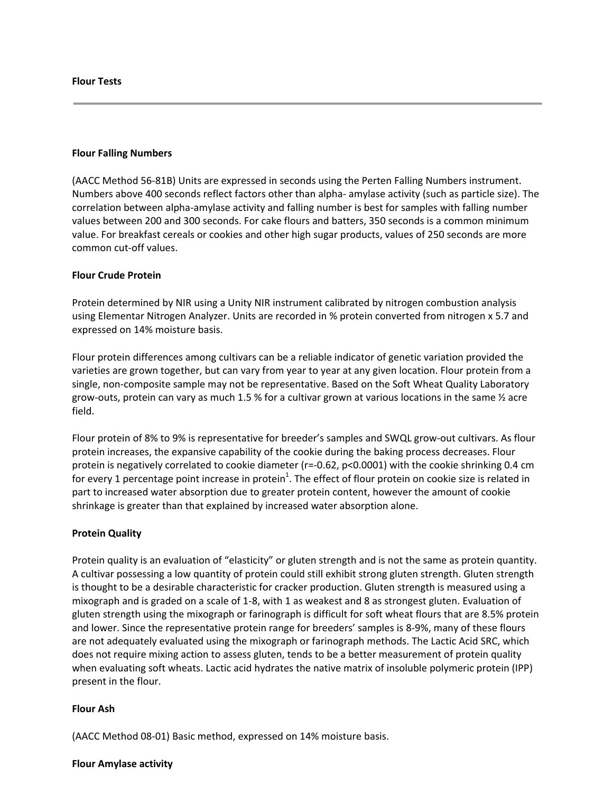### **Flour Tests**

## **Flour Falling Numbers**

(AACC Method 56‐81B) Units are expressed in seconds using the Perten Falling Numbers instrument. Numbers above 400 seconds reflect factors other than alpha‐ amylase activity (such as particle size). The correlation between alpha‐amylase activity and falling number is best for samples with falling number values between 200 and 300 seconds. For cake flours and batters, 350 seconds is a common minimum value. For breakfast cereals or cookies and other high sugar products, values of 250 seconds are more common cut‐off values.

## **Flour Crude Protein**

Protein determined by NIR using a Unity NIR instrument calibrated by nitrogen combustion analysis using Elementar Nitrogen Analyzer. Units are recorded in % protein converted from nitrogen x 5.7 and expressed on 14% moisture basis.

Flour protein differences among cultivars can be a reliable indicator of genetic variation provided the varieties are grown together, but can vary from year to year at any given location. Flour protein from a single, non-composite sample may not be representative. Based on the Soft Wheat Quality Laboratory grow‐outs, protein can vary as much 1.5 % for a cultivar grown at various locations in the same ½ acre field.

Flour protein of 8% to 9% is representative for breeder's samples and SWQL grow‐out cultivars. As flour protein increases, the expansive capability of the cookie during the baking process decreases. Flour protein is negatively correlated to cookie diameter (r=-0.62, p<0.0001) with the cookie shrinking 0.4 cm for every 1 percentage point increase in protein<sup>1</sup>. The effect of flour protein on cookie size is related in part to increased water absorption due to greater protein content, however the amount of cookie shrinkage is greater than that explained by increased water absorption alone.

## **Protein Quality**

Protein quality is an evaluation of "elasticity" or gluten strength and is not the same as protein quantity. A cultivar possessing a low quantity of protein could still exhibit strong gluten strength. Gluten strength is thought to be a desirable characteristic for cracker production. Gluten strength is measured using a mixograph and is graded on a scale of 1‐8, with 1 as weakest and 8 as strongest gluten. Evaluation of gluten strength using the mixograph or farinograph is difficult for soft wheat flours that are 8.5% protein and lower. Since the representative protein range for breeders' samples is 8‐9%, many of these flours are not adequately evaluated using the mixograph or farinograph methods. The Lactic Acid SRC, which does not require mixing action to assess gluten, tends to be a better measurement of protein quality when evaluating soft wheats. Lactic acid hydrates the native matrix of insoluble polymeric protein (IPP) present in the flour.

## **Flour Ash**

(AACC Method 08‐01) Basic method, expressed on 14% moisture basis.

#### **Flour Amylase activity**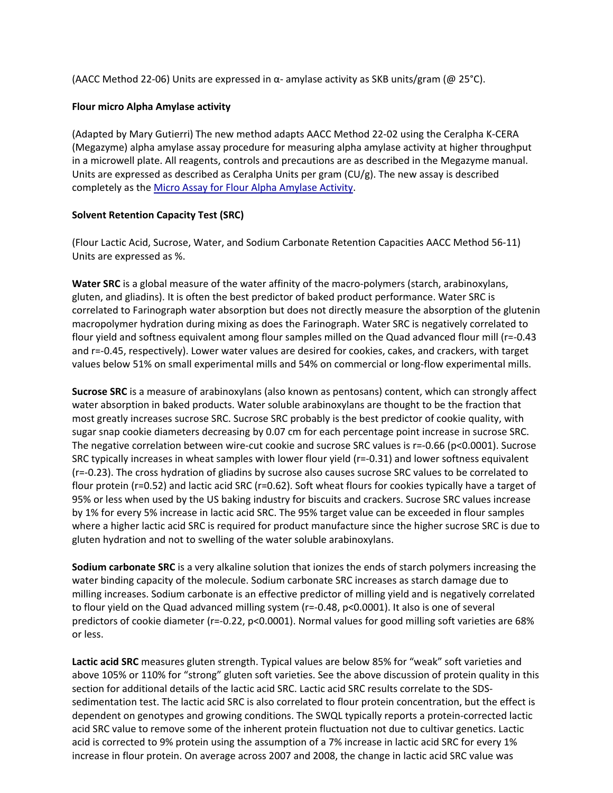(AACC Method 22-06) Units are expressed in  $\alpha$ - amylase activity as SKB units/gram (@ 25°C).

# **Flour micro Alpha Amylase activity**

(Adapted by Mary Gutierri) The new method adapts AACC Method 22‐02 using the Ceralpha K‐CERA (Megazyme) alpha amylase assay procedure for measuring alpha amylase activity at higher throughput in a microwell plate. All reagents, controls and precautions are as described in the Megazyme manual. Units are expressed as described as Ceralpha Units per gram (CU/g). The new assay is described completely as the Micro Assay for Flour Alpha Amylase Activity.

# **Solvent Retention Capacity Test (SRC)**

(Flour Lactic Acid, Sucrose, Water, and Sodium Carbonate Retention Capacities AACC Method 56‐11) Units are expressed as %.

**Water SRC** is a global measure of the water affinity of the macro‐polymers (starch, arabinoxylans, gluten, and gliadins). It is often the best predictor of baked product performance. Water SRC is correlated to Farinograph water absorption but does not directly measure the absorption of the glutenin macropolymer hydration during mixing as does the Farinograph. Water SRC is negatively correlated to flour yield and softness equivalent among flour samples milled on the Quad advanced flour mill (r=‐0.43 and r=‐0.45, respectively). Lower water values are desired for cookies, cakes, and crackers, with target values below 51% on small experimental mills and 54% on commercial or long‐flow experimental mills.

**Sucrose SRC** is a measure of arabinoxylans (also known as pentosans) content, which can strongly affect water absorption in baked products. Water soluble arabinoxylans are thought to be the fraction that most greatly increases sucrose SRC. Sucrose SRC probably is the best predictor of cookie quality, with sugar snap cookie diameters decreasing by 0.07 cm for each percentage point increase in sucrose SRC. The negative correlation between wire‐cut cookie and sucrose SRC values is r=‐0.66 (p<0.0001). Sucrose SRC typically increases in wheat samples with lower flour yield (r=‐0.31) and lower softness equivalent (r=‐0.23). The cross hydration of gliadins by sucrose also causes sucrose SRC values to be correlated to flour protein (r=0.52) and lactic acid SRC (r=0.62). Soft wheat flours for cookies typically have a target of 95% or less when used by the US baking industry for biscuits and crackers. Sucrose SRC values increase by 1% for every 5% increase in lactic acid SRC. The 95% target value can be exceeded in flour samples where a higher lactic acid SRC is required for product manufacture since the higher sucrose SRC is due to gluten hydration and not to swelling of the water soluble arabinoxylans.

**Sodium carbonate SRC** is a very alkaline solution that ionizes the ends of starch polymers increasing the water binding capacity of the molecule. Sodium carbonate SRC increases as starch damage due to milling increases. Sodium carbonate is an effective predictor of milling yield and is negatively correlated to flour yield on the Quad advanced milling system (r=‐0.48, p<0.0001). It also is one of several predictors of cookie diameter (r=‐0.22, p<0.0001). Normal values for good milling soft varieties are 68% or less.

**Lactic acid SRC** measures gluten strength. Typical values are below 85% for "weak" soft varieties and above 105% or 110% for "strong" gluten soft varieties. See the above discussion of protein quality in this section for additional details of the lactic acid SRC. Lactic acid SRC results correlate to the SDS‐ sedimentation test. The lactic acid SRC is also correlated to flour protein concentration, but the effect is dependent on genotypes and growing conditions. The SWQL typically reports a protein‐corrected lactic acid SRC value to remove some of the inherent protein fluctuation not due to cultivar genetics. Lactic acid is corrected to 9% protein using the assumption of a 7% increase in lactic acid SRC for every 1% increase in flour protein. On average across 2007 and 2008, the change in lactic acid SRC value was